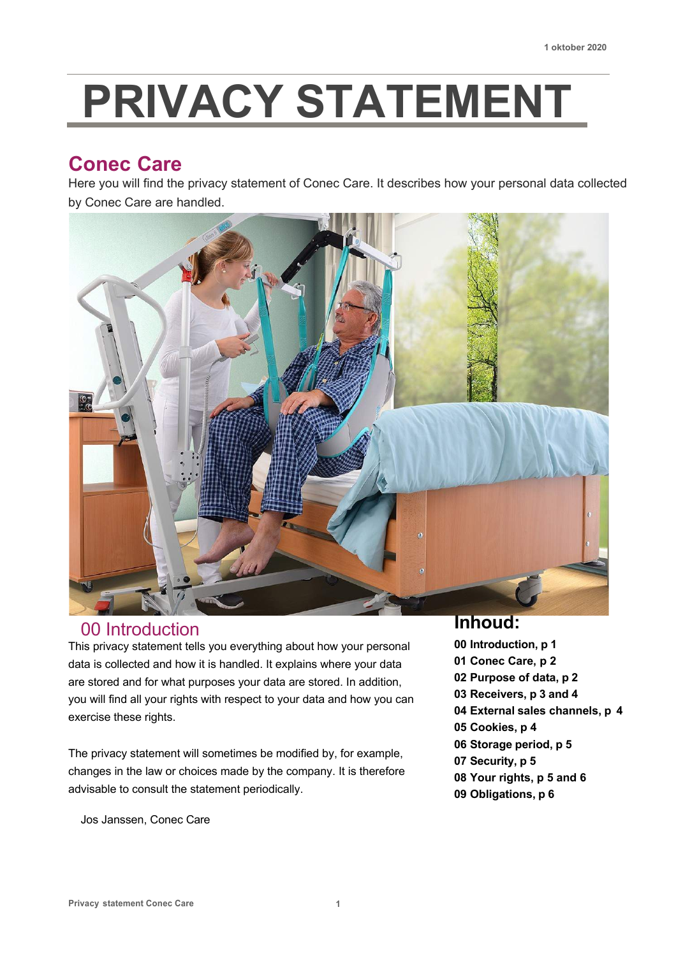# **PRIVACY STATEMENT**

## **Conec Care**

Here you will find the privacy statement of Conec Care. It describes how your personal data collected by Conec Care are handled.



## 00 Introduction

This privacy statement tells you everything about how your personal data is collected and how it is handled. It explains where your data are stored and for what purposes your data are stored. In addition, you will find all your rights with respect to your data and how you can exercise these rights.

The privacy statement will sometimes be modified by, for example, changes in the law or choices made by the company. It is therefore advisable to consult the statement periodically.

Jos Janssen, Conec Care

## **Inhoud:**

 **Introduction, p 1 Conec Care, p 2 Purpose of data, p 2 Receivers, p 3 and 4 External sales channels, p 4 Cookies, p 4 Storage period, p 5 Security, p 5 Your rights, p 5 and 6 Obligations, p 6**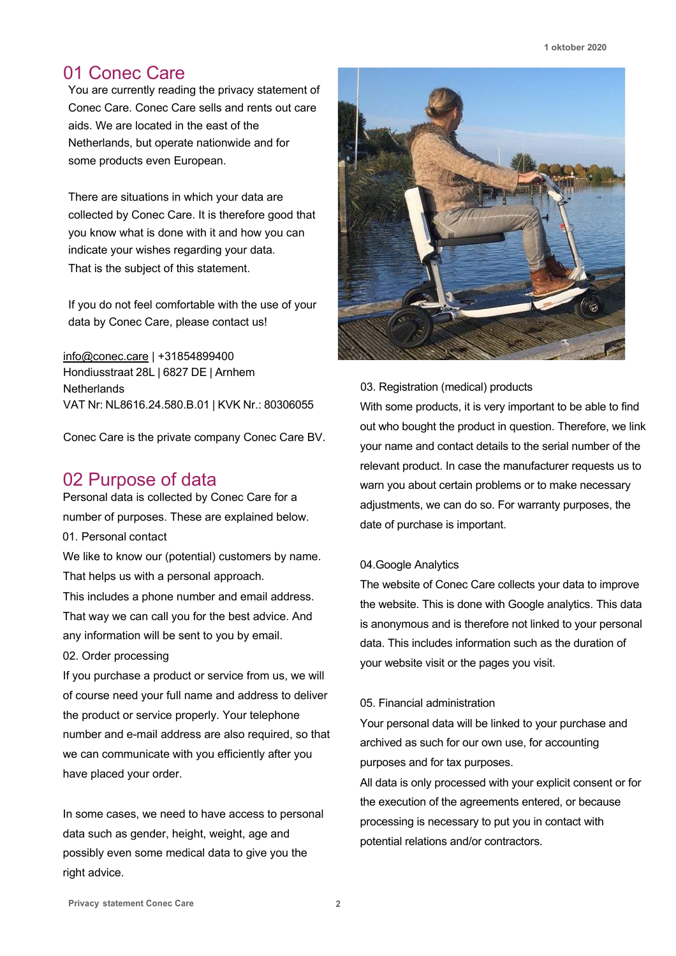## 01 Conec Care

You are currently reading the privacy statement of Conec Care. Conec Care sells and rents out care aids. We are located in the east of the Netherlands, but operate nationwide and for some products even European.

There are situations in which your data are collected by Conec Care. It is therefore good that you know what is done with it and how you can indicate your wishes regarding your data. That is the subject of this statement.

If you do not feel comfortable with the use of your data by Conec Care, please contact us!

info@conec.care | +31854899400 Hondiusstraat 28L | 6827 DE | Arnhem **Netherlands** VAT Nr: NL8616.24.580.B.01 | KVK Nr.: 80306055

Conec Care is the private company Conec Care BV.

## 02 Purpose of data

Personal data is collected by Conec Care for a number of purposes. These are explained below. 01. Personal contact

We like to know our (potential) customers by name. That helps us with a personal approach.

This includes a phone number and email address. That way we can call you for the best advice. And any information will be sent to you by email.

02. Order processing

If you purchase a product or service from us, we will of course need your full name and address to deliver the product or service properly. Your telephone number and e-mail address are also required, so that we can communicate with you efficiently after you have placed your order.

In some cases, we need to have access to personal data such as gender, height, weight, age and possibly even some medical data to give you the right advice.



#### 03. Registration (medical) products

With some products, it is very important to be able to find out who bought the product in question. Therefore, we link your name and contact details to the serial number of the relevant product. In case the manufacturer requests us to warn you about certain problems or to make necessary adjustments, we can do so. For warranty purposes, the date of purchase is important.

#### 04.Google Analytics

The website of Conec Care collects your data to improve the website. This is done with Google analytics. This data is anonymous and is therefore not linked to your personal data. This includes information such as the duration of your website visit or the pages you visit.

#### 05. Financial administration

Your personal data will be linked to your purchase and archived as such for our own use, for accounting purposes and for tax purposes.

All data is only processed with your explicit consent or for the execution of the agreements entered, or because processing is necessary to put you in contact with potential relations and/or contractors.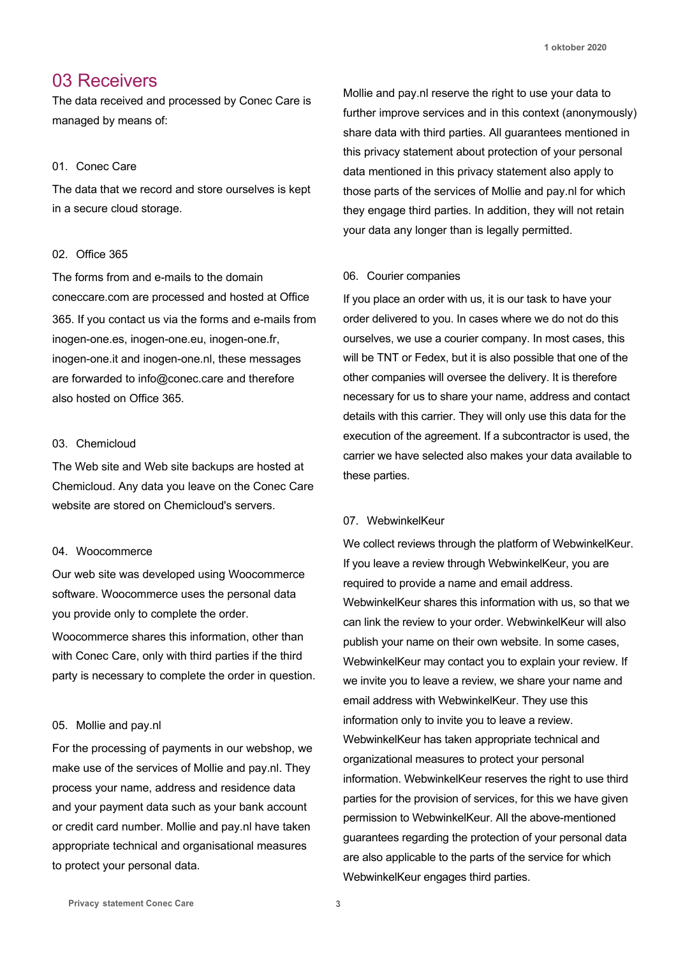## 03 Receivers

The data received and processed by Conec Care is managed by means of:

#### 01. Conec Care

The data that we record and store ourselves is kept in a secure cloud storage.

#### 02. Office 365

The forms from and e-mails to the domain coneccare.com are processed and hosted at Office 365. If you contact us via the forms and e-mails from inogen-one.es, inogen-one.eu, inogen-one.fr, inogen-one.it and inogen-one.nl, these messages are forwarded to info@conec.care and therefore also hosted on Office 365.

#### 03. Chemicloud

The Web site and Web site backups are hosted at Chemicloud. Any data you leave on the Conec Care website are stored on Chemicloud's servers.

#### 04. Woocommerce

Our web site was developed using Woocommerce software. Woocommerce uses the personal data you provide only to complete the order.

Woocommerce shares this information, other than with Conec Care, only with third parties if the third party is necessary to complete the order in question.

#### 05. Mollie and pay.nl

For the processing of payments in our webshop, we make use of the services of Mollie and pay.nl. They process your name, address and residence data and your payment data such as your bank account or credit card number. Mollie and pay.nl have taken appropriate technical and organisational measures to protect your personal data.

Mollie and pay.nl reserve the right to use your data to further improve services and in this context (anonymously) share data with third parties. All guarantees mentioned in this privacy statement about protection of your personal data mentioned in this privacy statement also apply to those parts of the services of Mollie and pay.nl for which they engage third parties. In addition, they will not retain your data any longer than is legally permitted.

#### 06. Courier companies

If you place an order with us, it is our task to have your order delivered to you. In cases where we do not do this ourselves, we use a courier company. In most cases, this will be TNT or Fedex, but it is also possible that one of the other companies will oversee the delivery. It is therefore necessary for us to share your name, address and contact details with this carrier. They will only use this data for the execution of the agreement. If a subcontractor is used, the carrier we have selected also makes your data available to these parties.

#### 07. WebwinkelKeur

We collect reviews through the platform of WebwinkelKeur. If you leave a review through WebwinkelKeur, you are required to provide a name and email address. WebwinkelKeur shares this information with us, so that we can link the review to your order. WebwinkelKeur will also publish your name on their own website. In some cases, WebwinkelKeur may contact you to explain your review. If we invite you to leave a review, we share your name and email address with WebwinkelKeur. They use this information only to invite you to leave a review. WebwinkelKeur has taken appropriate technical and organizational measures to protect your personal information. WebwinkelKeur reserves the right to use third parties for the provision of services, for this we have given permission to WebwinkelKeur. All the above-mentioned guarantees regarding the protection of your personal data are also applicable to the parts of the service for which WebwinkelKeur engages third parties.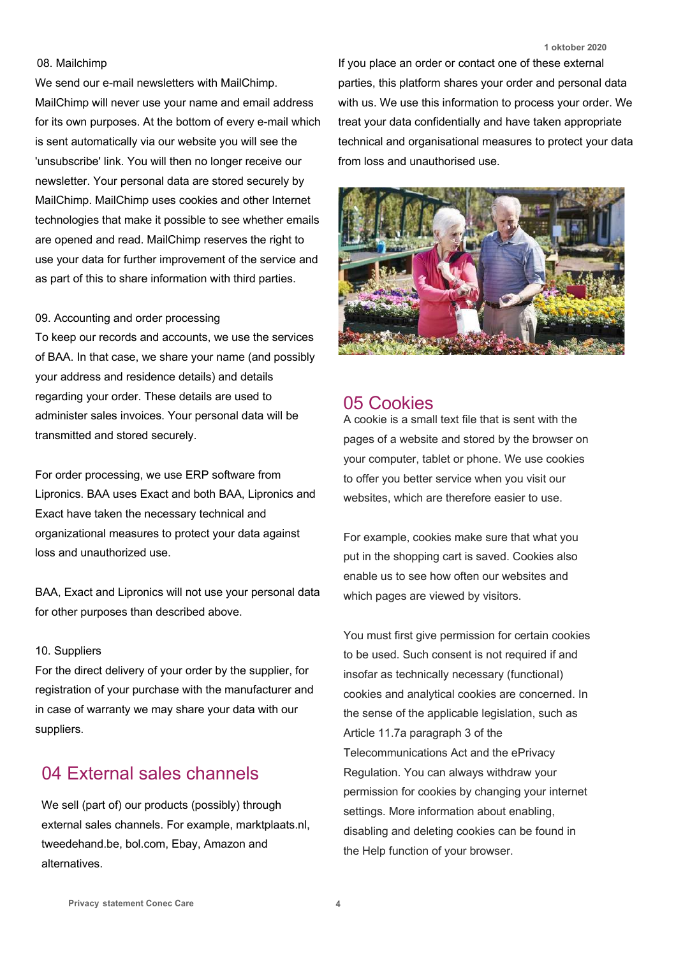#### 08. Mailchimp

We send our e-mail newsletters with MailChimp. MailChimp will never use your name and email address for its own purposes. At the bottom of every e-mail which is sent automatically via our website you will see the 'unsubscribe' link. You will then no longer receive our newsletter. Your personal data are stored securely by MailChimp. MailChimp uses cookies and other Internet technologies that make it possible to see whether emails are opened and read. MailChimp reserves the right to use your data for further improvement of the service and as part of this to share information with third parties.

#### 09. Accounting and order processing

To keep our records and accounts, we use the services of BAA. In that case, we share your name (and possibly your address and residence details) and details regarding your order. These details are used to administer sales invoices. Your personal data will be transmitted and stored securely.

For order processing, we use ERP software from Lipronics. BAA uses Exact and both BAA, Lipronics and Exact have taken the necessary technical and organizational measures to protect your data against loss and unauthorized use.

BAA, Exact and Lipronics will not use your personal data for other purposes than described above.

#### 10. Suppliers

For the direct delivery of your order by the supplier, for registration of your purchase with the manufacturer and in case of warranty we may share your data with our suppliers.

## 04 External sales channels

We sell (part of) our products (possibly) through external sales channels. For example, marktplaats.nl, tweedehand.be, bol.com, Ebay, Amazon and alternatives.

**1 oktober 2020**

If you place an order or contact one of these external parties, this platform shares your order and personal data with us. We use this information to process your order. We treat your data confidentially and have taken appropriate technical and organisational measures to protect your data from loss and unauthorised use.



### 05 Cookies

A cookie is a small text file that is sent with the pages of a website and stored by the browser on your computer, tablet or phone. We use cookies to offer you better service when you visit our websites, which are therefore easier to use.

For example, cookies make sure that what you put in the shopping cart is saved. Cookies also enable us to see how often our websites and which pages are viewed by visitors.

You must first give permission for certain cookies to be used. Such consent is not required if and insofar as technically necessary (functional) cookies and analytical cookies are concerned. In the sense of the applicable legislation, such as Article 11.7a paragraph 3 of the Telecommunications Act and the ePrivacy Regulation. You can always withdraw your permission for cookies by changing your internet settings. More information about enabling, disabling and deleting cookies can be found in the Help function of your browser.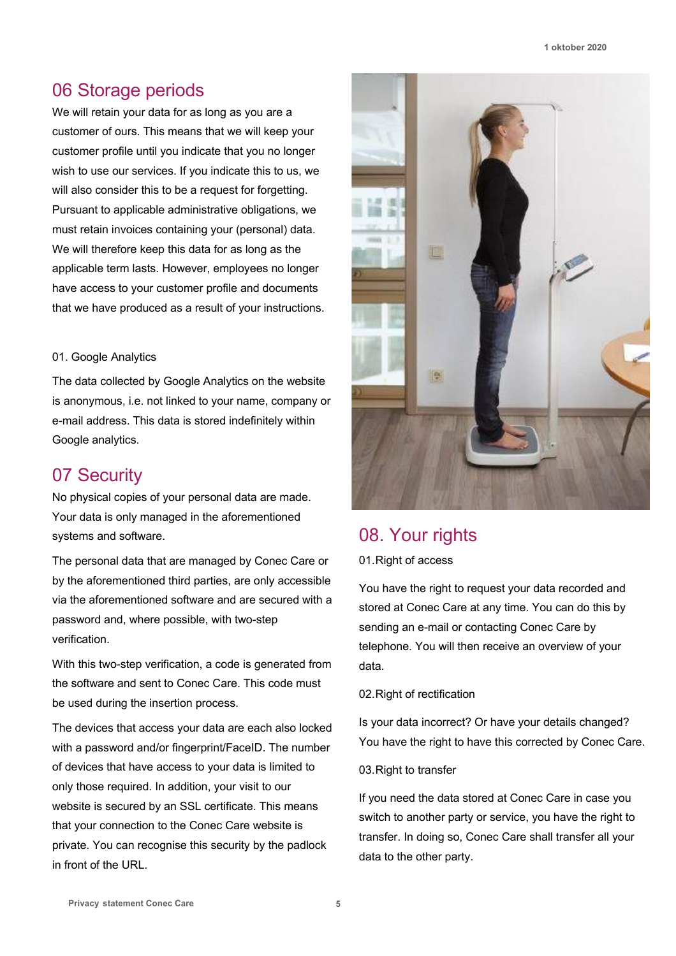## 06 Storage periods

We will retain your data for as long as you are a customer of ours. This means that we will keep your customer profile until you indicate that you no longer wish to use our services. If you indicate this to us, we will also consider this to be a request for forgetting. Pursuant to applicable administrative obligations, we must retain invoices containing your (personal) data. We will therefore keep this data for as long as the applicable term lasts. However, employees no longer have access to your customer profile and documents that we have produced as a result of your instructions.

#### 01. Google Analytics

The data collected by Google Analytics on the website is anonymous, i.e. not linked to your name, company or e-mail address. This data is stored indefinitely within Google analytics.

## 07 Security

No physical copies of your personal data are made. Your data is only managed in the aforementioned systems and software.

The personal data that are managed by Conec Care or by the aforementioned third parties, are only accessible via the aforementioned software and are secured with a password and, where possible, with two-step verification.

With this two-step verification, a code is generated from the software and sent to Conec Care. This code must be used during the insertion process.

The devices that access your data are each also locked with a password and/or fingerprint/FaceID. The number of devices that have access to your data is limited to only those required. In addition, your visit to our website is secured by an SSL certificate. This means that your connection to the Conec Care website is private. You can recognise this security by the padlock in front of the URL.



## 08. Your rights

01.Right of access

You have the right to request your data recorded and stored at Conec Care at any time. You can do this by sending an e-mail or contacting Conec Care by telephone. You will then receive an overview of your data.

#### 02. Right of rectification

Is your data incorrect? Or have your details changed? You have the right to have this corrected by Conec Care.

#### 03.Right to transfer

If you need the data stored at Conec Care in case you switch to another party or service, you have the right to transfer. In doing so, Conec Care shall transfer all your data to the other party.